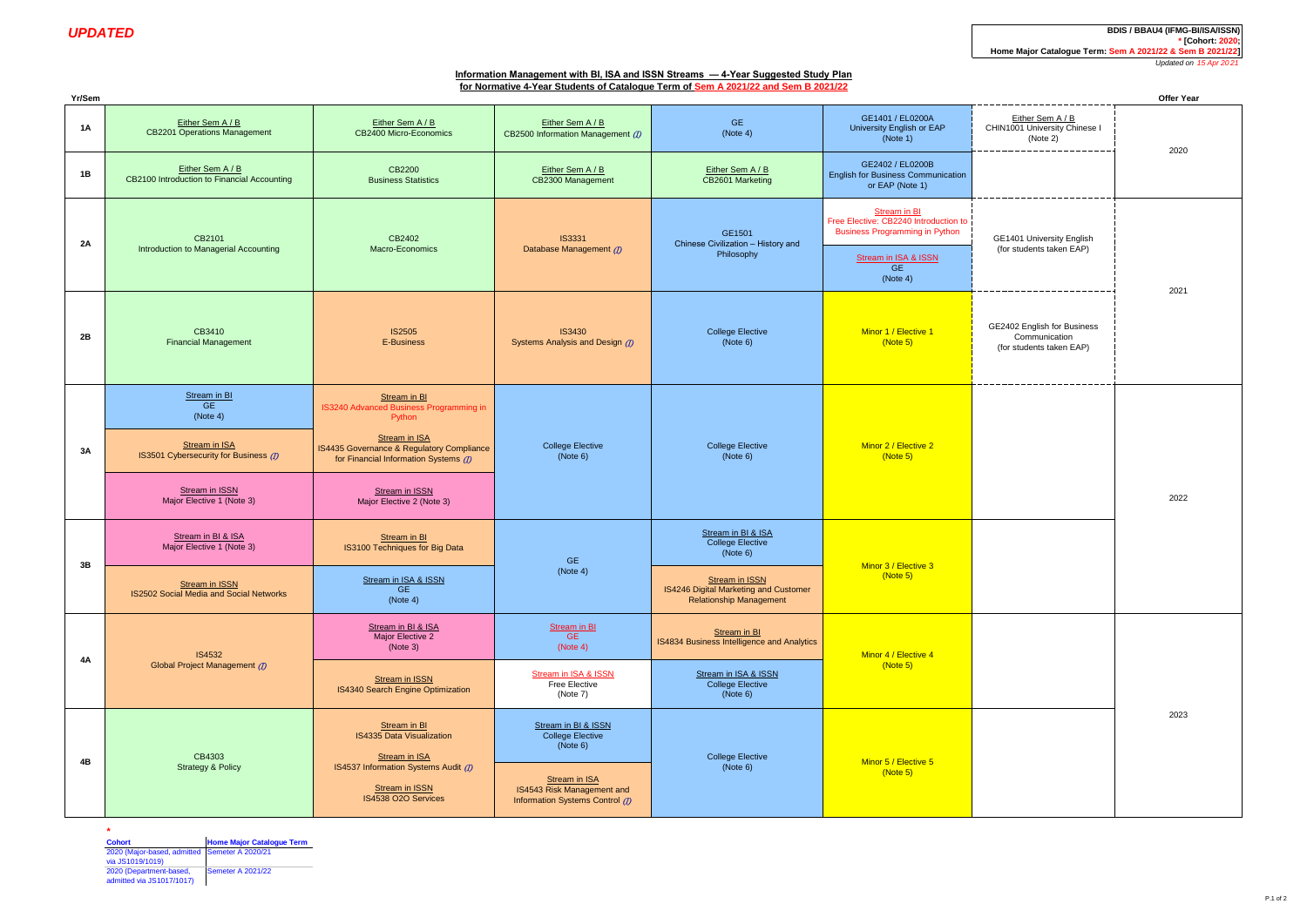Either Sem A / B

**UPDATED BDIS / BBAU4 (IFMG-BI/ISSN) BDIS / BBAU4 (IFMG-BI/ISSN) \* [Cohort: 2020; Home Major Catalogue Term: Sem A 2021/22 & Sem B 2021/22]**

*Updated on 15 Apr 20 21*

# **Information Management with BI, ISA and ISSN Streams — 4-Year Suggested Study Plan for Normative 4-Year Students of Catalogue Term of Sem A 2021/22 and Sem B 2021/22**

**Yr/Sem Offer Year**

Either Sem A / B

| <b>GE</b><br>(Note 4)                                      | GE1401 / EL0200A<br>University English or EAP<br>(Note 1)                                      | Either Sem A / B<br>CHIN1001 University Chinese I<br>(Note 2)            |  |
|------------------------------------------------------------|------------------------------------------------------------------------------------------------|--------------------------------------------------------------------------|--|
| Either Sem A / B<br>CB2601 Marketing                       | GE2402 / EL0200B<br><b>English for Business Communication</b><br>or EAP (Note 1)               |                                                                          |  |
| GE1501<br>Chinese Civilization - History and<br>Philosophy | Stream in BI<br>Free Elective: CB2240 Introduction to<br><b>Business Programming in Python</b> | GE1401 University English                                                |  |
|                                                            | Stream in ISA & ISSN<br><b>GE</b><br>(Note 4)                                                  | (for students taken EAP)                                                 |  |
| <b>College Elective</b><br>(Note 6)                        | Minor 1 / Elective 1<br>(Note 5)                                                               | GE2402 English for Business<br>Communication<br>(for students taken EAP) |  |
|                                                            |                                                                                                |                                                                          |  |

| 1A | Either Sem A / B<br><b>CB2201 Operations Management</b>                                                                                               | Either Sem A / B<br>CB2400 Micro-Economics                                                                                                                                                                                            | Either Sem A / B<br>CB2500 Information Management (7)                                                                                        | <b>GE</b><br>(Note 4)                                                                                                                                         | GE1401 / EL0200A<br>University English or EAP<br>(Note 1)                                                                                              | Either Sem A / B<br>CHIN1001 University Chinese I<br>(Note 2)            | 2020 |
|----|-------------------------------------------------------------------------------------------------------------------------------------------------------|---------------------------------------------------------------------------------------------------------------------------------------------------------------------------------------------------------------------------------------|----------------------------------------------------------------------------------------------------------------------------------------------|---------------------------------------------------------------------------------------------------------------------------------------------------------------|--------------------------------------------------------------------------------------------------------------------------------------------------------|--------------------------------------------------------------------------|------|
| 1B | Either Sem A / B<br>CB2100 Introduction to Financial Accounting                                                                                       | CB2200<br><b>Business Statistics</b>                                                                                                                                                                                                  | Either Sem A / B<br>CB2300 Management                                                                                                        | Either Sem A / B<br>CB2601 Marketing                                                                                                                          | GE2402 / EL0200B<br><b>English for Business Communication</b><br>or EAP (Note 1)                                                                       |                                                                          |      |
| 2A | CB2101<br>Introduction to Managerial Accounting                                                                                                       | CB2402<br>Macro-Economics                                                                                                                                                                                                             | <b>IS3331</b><br>Database Management (D)                                                                                                     | GE1501<br>Chinese Civilization - History and<br>Philosophy                                                                                                    | <b>Stream in BI</b><br>Free Elective: CB2240 Introduction to<br><b>Business Programming in Python</b><br>Stream in ISA & ISSN<br><b>GE</b><br>(Note 4) | GE1401 University English<br>(for students taken EAP)                    | 2021 |
| 2B | CB3410<br><b>Financial Management</b>                                                                                                                 | <b>IS2505</b><br>E-Business                                                                                                                                                                                                           | <b>IS3430</b><br>Systems Analysis and Design (D)                                                                                             | <b>College Elective</b><br>(Note 6)                                                                                                                           | Minor 1 / Elective 1<br>(Note 5)                                                                                                                       | GE2402 English for Business<br>Communication<br>(for students taken EAP) |      |
| 3A | Stream in BI<br><b>GE</b><br>(Note 4)<br><b>Stream in ISA</b><br>IS3501 Cybersecurity for Business (D)<br>Stream in ISSN<br>Major Elective 1 (Note 3) | Stream in BI<br>IS3240 Advanced Business Programming in<br>Python<br><b>Stream in ISA</b><br>IS4435 Governance & Regulatory Compliance<br>for Financial Information Systems (D)<br><b>Stream in ISSN</b><br>Major Elective 2 (Note 3) | <b>College Elective</b><br>(Note 6)                                                                                                          | <b>College Elective</b><br>(Note 6)                                                                                                                           | Minor 2 / Elective 2<br>(Note 5)                                                                                                                       |                                                                          | 2022 |
| 3B | Stream in BI & ISA<br>Major Elective 1 (Note 3)<br>Stream in ISSN<br>IS2502 Social Media and Social Networks                                          | Stream in BI<br>IS3100 Techniques for Big Data<br>Stream in ISA & ISSN<br><b>GE</b><br>(Note 4)                                                                                                                                       | <b>GE</b><br>(Note 4)                                                                                                                        | Stream in BI & ISA<br><b>College Elective</b><br>(Note 6)<br><b>Stream in ISSN</b><br>IS4246 Digital Marketing and Customer<br><b>Relationship Management</b> | Minor 3 / Elective 3<br>(Note 5)                                                                                                                       |                                                                          |      |
| 4A | IS4532<br>Global Project Management (7)                                                                                                               | Stream in BI & ISA<br>Major Elective 2<br>(Note 3)<br><b>Stream in ISSN</b><br>IS4340 Search Engine Optimization                                                                                                                      | <b>Stream in BI</b><br><b>GE</b><br>(Note 4)<br>Stream in ISA & ISSN<br>Free Elective<br>(Note 7)                                            | Stream in BI<br>IS4834 Business Intelligence and Analytics<br>Stream in ISA & ISSN<br><b>College Elective</b><br>(Note 6)                                     | Minor 4 / Elective 4<br>(Note 5)                                                                                                                       |                                                                          |      |
| 4B | CB4303<br><b>Strategy &amp; Policy</b>                                                                                                                | Stream in BI<br><b>IS4335 Data Visualization</b><br><b>Stream in ISA</b><br>IS4537 Information Systems Audit (7)<br>Stream in ISSN<br>IS4538 O2O Services                                                                             | Stream in BI & ISSN<br><b>College Elective</b><br>(Note 6)<br>Stream in ISA<br>IS4543 Risk Management and<br>Information Systems Control (I) | <b>College Elective</b><br>(Note 6)                                                                                                                           | Minor 5 / Elective 5<br>(Note 5)                                                                                                                       |                                                                          | 2023 |

**\* Cohort Home Major Catalogue Term** 2020 (Major-based, admitted via JS1019/1019) Semeter A 2020/21

2020 (Department-based, admitted via JS1017/1017) Semeter A 2021/22

P.1 of 2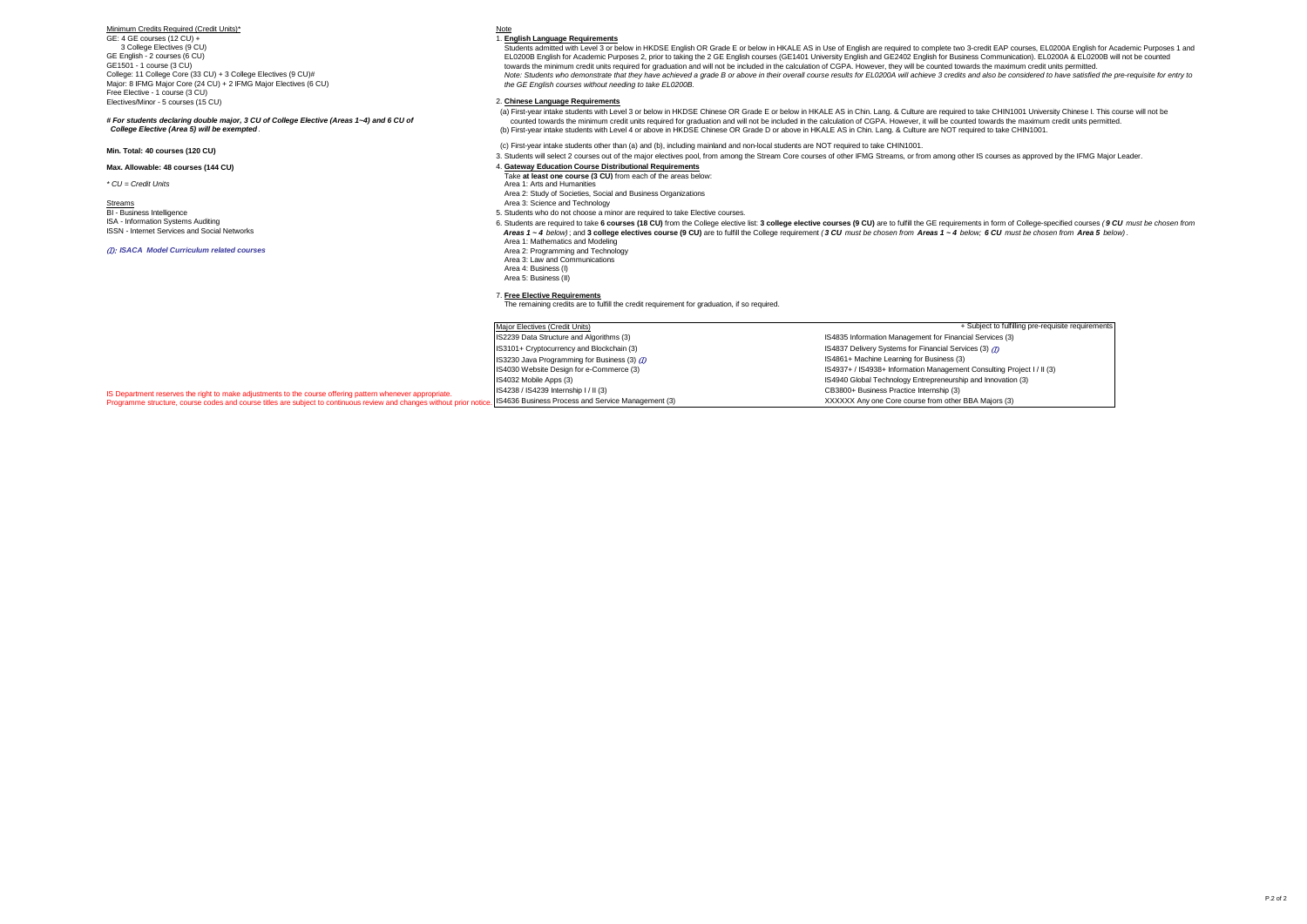Minimum Credits Required (Credit Units)\*

GE: 4 GE courses (12 CU) + 3 College Electives (9 CU) GE English - 2 courses (6 CU) GE1501 - 1 course (3 CU) College: 11 College Core (33 CU) + 3 College Electives (9 CU)# Major: 8 IFMG Major Core (24 CU) + 2 IFMG Major Electives (6 CU) Free Elective - 1 course (3 CU) Electives/Minor - 5 courses (15 CU)

*# For students declaring double major, 3 CU of College Elective (Areas 1~4) and 6 CU of College Elective (Area 5) will be exempted .*

#### **Max. Allowable: 48 courses (144 CU)**

Streams Area 3: Science and Technology **BI - Business Intelligence** ISA - Information Systems Auditing ISSN - Internet Services and Social Networks

#### (I): *ISACA Model Curriculum related courses*

### Note

1. **English Language Requirements**

 Students admitted with Level 3 or below in HKDSE English OR Grade E or below in HKALE AS in Use of English are required to complete two 3-credit EAP courses, EL0200A English for Academic Purposes 1 and EL0200B English for Academic Purposes 2, prior to taking the 2 GE English courses (GE1401 University English and GE2402 English for Business Communication). EL0200A & EL0200B will not be counted<br>towards the minimum credit Note: Students who demonstrate that they have achieved a grade B or above in their overall course results for EL0200A will achieve 3 credits and also be considered to have satisfied the pre-requisite for entry to  *the GE English courses without needing to take EL0200B.*

#### 2. **Chinese Language Requirements**

-<br>(a) First-year intake students with Level 3 or below in HKDSE Chinese OR Grade E or below in HKALE AS in Chin. Lang. & Culture are required to take CHIN1001 University Chinese I. This course will not be oounted towards the minimum credit units required for graduation and will not be included in the calculation of CGPA. However, it will be counted towards the maximum credit units permitted.<br>(b) First-year intake students w

**Min. Total: 40 courses (120 CU)** (c) First-year intake students other than (a) and (b), including mainland and non-local students are NOT required to take CHIN1001.

3. Students will select 2 courses out of the major electives pool, from among the Stream Core courses of other IFMG Streams, or from among other IS courses as approved by the IFMG Major Leader.

#### 4. **Gateway Education Course Distributional Requirements**

- Take **at least one course (3 CU)** from each of the areas below:
- *\* CU = Credit Units* Area 1: Arts and Humanities
	- Area 2: Study of Societies, Social and Business Organizations
	-
	- 5. Students who do not choose a minor are required to take Elective courses.
	- 6. Students are required to take 6 courses (18 CU) from the College elective list: 3 college elective courses (9 CU) are to fulfill the GE requirements in form of College-specified courses (9 CU must be chosen from Areas 1 ~ 4 below); and 3 college electives course (9 CU) are to fulfill the College requirement (3 CU must be chosen from Areas 1 ~ 4 below; 6 CU must be chosen from Area 5 below). Area 1: Mathematics and Modeling
		- Area 2: Programming and Technology
		- Area 3: Law and Communications
		- Area 4: Business (I)
		- Area 5: Business (II)

7. **Free Elective Requirements** The remaining credits are to fulfill the credit requirement for graduation, if so required.

Major Electives (Credit Units)<br>IS2239 Data Structure and Algorithms (3) IS2239 Data Structure and Algorithms (3) <br>IS3101+ Cryptocurrency and Blockchain (3) <br>IS3101+ Cryptocurrency and Blockchain (3) <br>IS3101+ Cryptocurrency and Blockchain (3) IS3230 Java Programming for Business (3) (D)<br>IS4030 Website Design for e-Commerce (3) IS4238 / IS4239 Internship I / II (3)<br>IS4636 Business Process and Service Management (3) CS4636 CHA CHANGER MANAGER MANAGER CHANGER CHANGER OF STATE

IS4837 Delivery Systems for Financial Services (3)  $(D)$ <br>IS4861+ Machine Learning for Business (3) IS4030 Website Design for e-Commerce (3) <br>
IS4932 Mobile Apps (3) IS4940 Global Technology Entrepreneurship and Innovation (3)<br>
IS4940 Global Technology Entrepreneurship and Innovation (3) IS4940 Global Technology Entrepreneurship and Innovation (3) XXXXXX Any one Core course from other BBA Majors (3) + Subject to fulfilling pre-requisite requirements

IS Department reserves the right to make adjustments to the course offering pattern whenever appropriate. Programme structure, course codes and course titles are subject to continuous review and changes without prior notice.